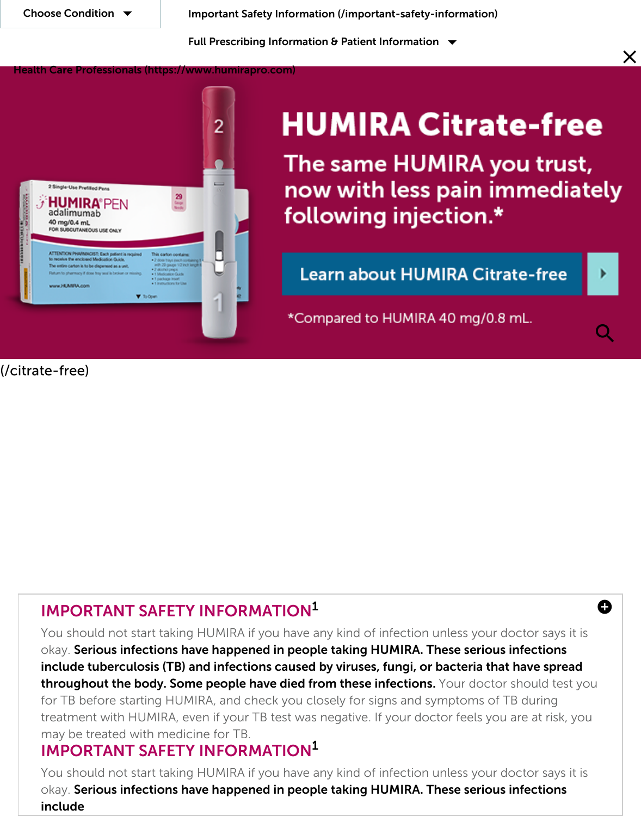

# **HUMIRA Citrate-1**

The same HUMIRA you t now with less pain imme following injection.\*

Learn about HUMIRA Citrate-fi

\*Compared to HUMIRA 40 mg/0.8 mL.

(/ci[trate-free\)](https://www.humira.com/)

# IMPORTANT SAFETY INFORMATION<sup>1</sup>

You should not start taking HUMIRA if you have any kind of infection unless your doctor say okay. Serious infections have happened in people taking HUMIRA. These serious infections include tuberculosis (TB) and infections caused by viruses, fungi, or bacteria that have throughout the body. Some people have died from these infections. Your doctor should for TB before starting HUMIRA, and check you closely for signs and symptoms of TB duri treatment with HUMIRA, even if your TB test was negative. If your doctor feels you are at may be treated with medicine for TB.

# IMPORTANT SAFETY INFORMATION 1

You should not start taking HUMIRA if you have any kind of infection unless your doctor st okay. Serious infections have happened in people taking HUMIRA. These serious infecti include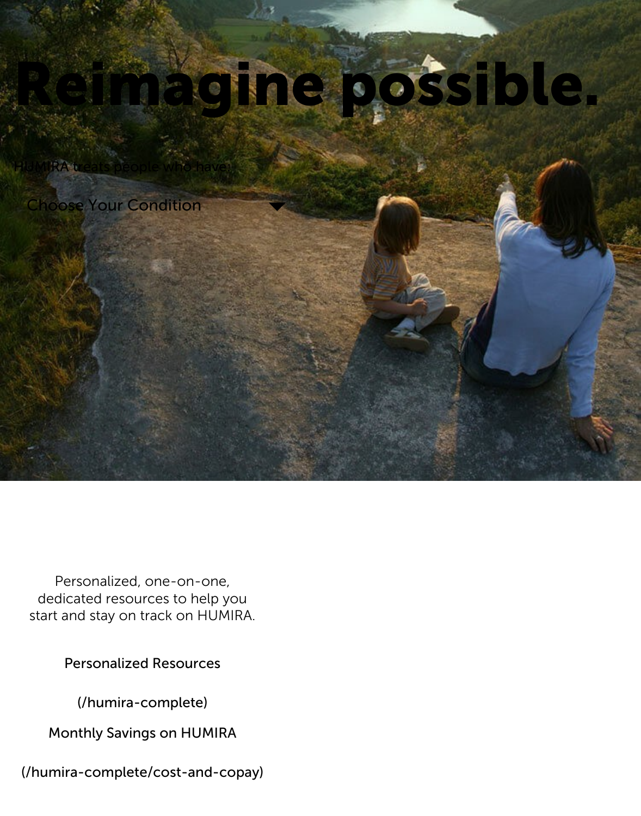

Personalized, one-on-one, dedicated resources to help you start and stay on track on HUMIRA.

Personalized Resources

(/humira-complete)

Monthly Savings on HUMIRA

[\(/humira-complete/cost-and-copay\)](https://www.humira.com/humira-complete)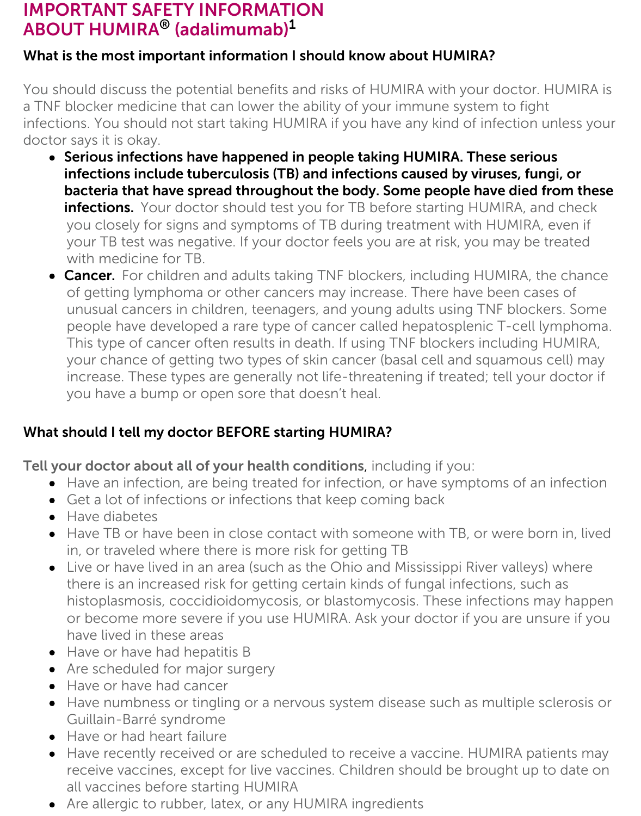## IMPORTANT SAFETY INFORMATION  $\mathsf{ABOUT}\ \mathsf{HUMIRA}^{\circledast}$  (adalimumab) $^{\mathsf{1}}$

#### What is the most important information I should know about HUMIRA?

You should discuss the potential benefits and risks of HUMIRA with your doctor. HUMIRA is a TNF blocker medicine that can lower the ability of your immune system to fight infections. You should not start taking HUMIRA if you have any kind of infection unless your doctor says it is okay.

- Serious infections have happened in people taking HUMIRA. These serious infections include tuberculosis (TB) and infections caused by viruses, fungi, or bacteria that have spread throughout the body. Some people have died from these infections. Your doctor should test you for TB before starting HUMIRA, and check you closely for signs and symptoms of TB during treatment with HUMIRA, even if your TB test was negative. If your doctor feels you are at risk, you may be treated with medicine for TB.
- Cancer. For children and adults taking TNF blockers, including HUMIRA, the chance of getting lymphoma or other cancers may increase. There have been cases of unusual cancers in children, teenagers, and young adults using TNF blockers. Some people have developed a rare type of cancer called hepatosplenic T-cell lymphoma. This type of cancer often results in death. If using TNF blockers including HUMIRA, your chance of getting two types of skin cancer (basal cell and squamous cell) may increase. These types are generally not life-threatening if treated; tell your doctor if you have a bump or open sore that doesn't heal.

#### What should I tell my doctor BEFORE starting HUMIRA?

Tell your doctor about all of your health conditions, including if you:

- Have an infection, are being treated for infection, or have symptoms of an infection
- Get a lot of infections or infections that keep coming back
- Have diabetes
- Have TB or have been in close contact with someone with TB, or were born in, lived in, or traveled where there is more risk for getting TB
- Live or have lived in an area (such as the Ohio and Mississippi River valleys) where there is an increased risk for getting certain kinds of fungal infections, such as histoplasmosis, coccidioidomycosis, or blastomycosis. These infections may happen or become more severe if you use HUMIRA. Ask your doctor if you are unsure if you have lived in these areas
- Have or have had hepatitis B
- Are scheduled for major surgery
- Have or have had cancer
- Have numbness or tingling or a nervous system disease such as multiple sclerosis or Guillain-Barré syndrome
- Have or had heart failure
- Have recently received or are scheduled to receive a vaccine. HUMIRA patients may  $\bullet$ receive vaccines, except for live vaccines. Children should be brought up to date on all vaccines before starting HUMIRA
- Are allergic to rubber, latex, or any HUMIRA ingredients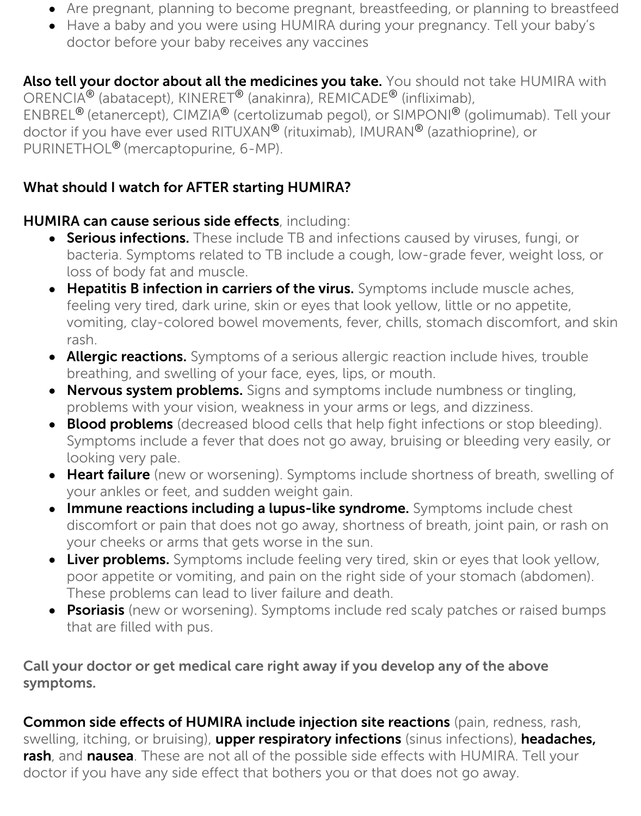- Are pregnant, planning to become pregnant, breastfeeding, or planning to breastfeed
- Have a baby and you were using HUMIRA during your pregnancy. Tell your baby's doctor before your baby receives any vaccines

Also tell your doctor about all the medicines you take. You should not take HUMIRA with ORENCIA<sup>®</sup> (abatacept), KINERET<sup>®</sup> (anakinra), REMICADE<sup>®</sup> (infliximab), ENBREL<sup>®</sup> (etanercept), CIMZIA<sup>®</sup> (certolizumab pegol), or SIMPONI<sup>®</sup> (golimumab). Tell your doctor if you have ever used RITUXAN® (rituximab), IMURAN® (azathioprine), or PURINETHOL<sup>®</sup> (mercaptopurine, 6-MP).

#### What should I watch for AFTER starting HUMIRA?

#### HUMIRA can cause serious side effects, including:

- **Serious infections.** These include TB and infections caused by viruses, fungi, or bacteria. Symptoms related to TB include a cough, low-grade fever, weight loss, or loss of body fat and muscle.
- **Hepatitis B infection in carriers of the virus.** Symptoms include muscle aches, feeling very tired, dark urine, skin or eyes that look yellow, little or no appetite, vomiting, clay-colored bowel movements, fever, chills, stomach discomfort, and skin rash.
- Allergic reactions. Symptoms of a serious allergic reaction include hives, trouble breathing, and swelling of your face, eyes, lips, or mouth.
- Nervous system problems. Signs and symptoms include numbness or tingling,  $\bullet$ problems with your vision, weakness in your arms or legs, and dizziness.
- Blood problems (decreased blood cells that help fight infections or stop bleeding). Symptoms include a fever that does not go away, bruising or bleeding very easily, or looking very pale.
- Heart failure (new or worsening). Symptoms include shortness of breath, swelling of your ankles or feet, and sudden weight gain.
- **Immune reactions including a lupus-like syndrome.** Symptoms include chest discomfort or pain that does not go away, shortness of breath, joint pain, or rash on your cheeks or arms that gets worse in the sun.
- Liver problems. Symptoms include feeling very tired, skin or eyes that look yellow, poor appetite or vomiting, and pain on the right side of your stomach (abdomen). These problems can lead to liver failure and death.
- **Psoriasis** (new or worsening). Symptoms include red scaly patches or raised bumps that are filled with pus.

#### Call your doctor or get medical care right away if you develop any of the above symptoms.

Common side effects of HUMIRA include injection site reactions (pain, redness, rash, swelling, itching, or bruising), upper respiratory infections (sinus infections), headaches, rash, and nausea. These are not all of the possible side effects with HUMIRA. Tell your doctor if you have any side effect that bothers you or that does not go away.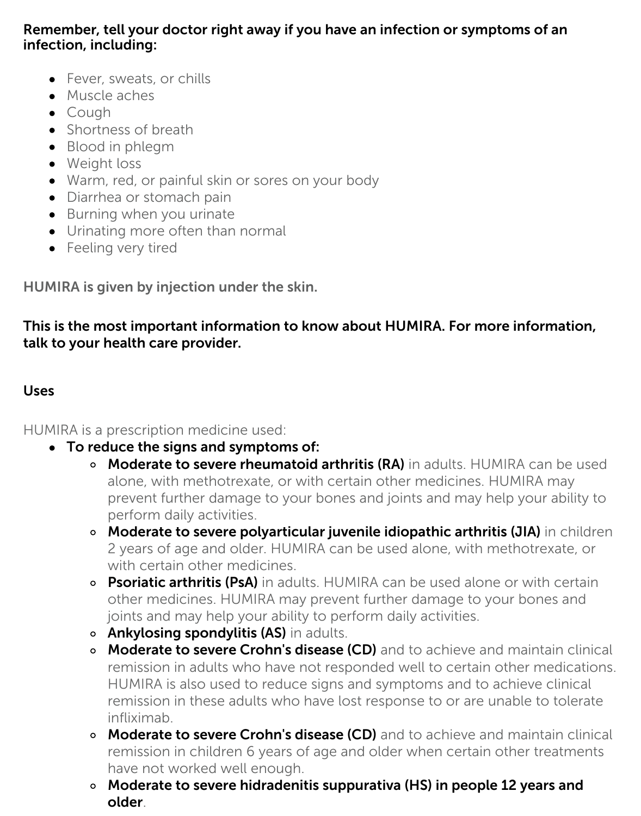#### Remember, tell your doctor right away if you have an infection or symptoms of an infection, including:

- Fever, sweats, or chills
- Muscle aches
- Cough
- Shortness of breath
- Blood in phlegm
- Weight loss
- Warm, red, or painful skin or sores on your body
- Diarrhea or stomach pain
- Burning when you urinate
- Urinating more often than normal
- Feeling very tired

HUMIRA is given by injection under the skin.

This is the most important information to know about HUMIRA. For more information, talk to your health care provider.

#### Uses

HUMIRA is a prescription medicine used:

- To reduce the signs and symptoms of:
	- o Moderate to severe rheumatoid arthritis (RA) in adults. HUMIRA can be used alone, with methotrexate, or with certain other medicines. HUMIRA may prevent further damage to your bones and joints and may help your ability to perform daily activities.
	- o Moderate to severe polyarticular juvenile idiopathic arthritis (JIA) in children 2 years of age and older. HUMIRA can be used alone, with methotrexate, or with certain other medicines.
	- o Psoriatic arthritis (PsA) in adults. HUMIRA can be used alone or with certain other medicines. HUMIRA may prevent further damage to your bones and joints and may help your ability to perform daily activities.
	- o **Ankylosing spondylitis (AS)** in adults.
	- **Moderate to severe Crohn's disease (CD)** and to achieve and maintain clinical remission in adults who have not responded well to certain other medications. HUMIRA is also used to reduce signs and symptoms and to achieve clinical remission in these adults who have lost response to or are unable to tolerate infliximab.
	- **Moderate to severe Crohn's disease (CD)** and to achieve and maintain clinical remission in children 6 years of age and older when certain other treatments have not worked well enough.
	- Moderate to severe hidradenitis suppurativa (HS) in people 12 years and older.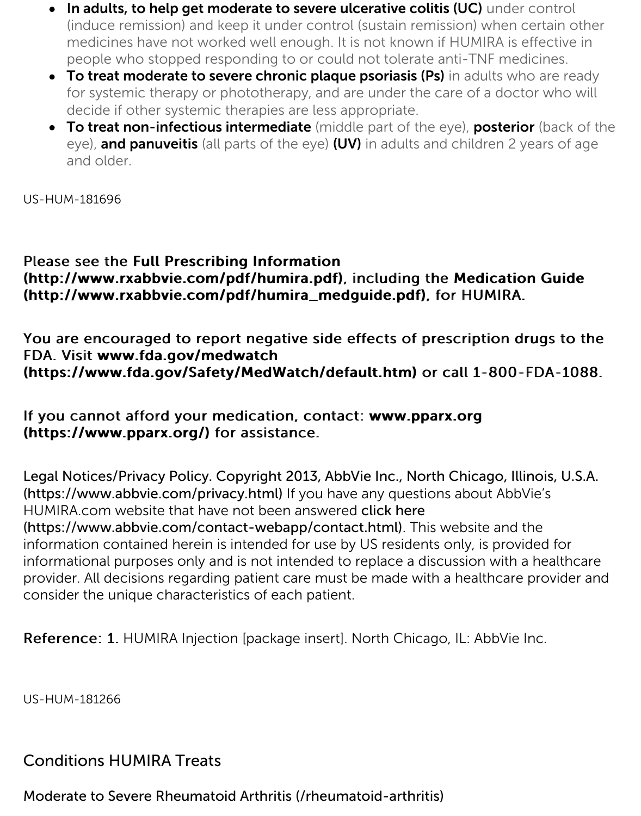- decide if other systemic therapies are less appropriate.
- To treat non-infectious intermediate (middle part of the eye), posterior (back eye), and panuveitis (all parts of the eye) (UV) in adults and children 2 years and older.

US-HUM-181696

#### Please see the Full Prescribing Information (http://www.rxabbvie.com/pdf/humira.pdf), including the Medication ( (http://www.rxabbvie.com/pdf/humira\_medguide.pdf), for HUMIRA.

You are encouraged to report negative side effects of prescription drug FDA. Visit www.fda.gov/medwatch [\(https://www.fda.gov/Safety/MedWatch/de](http://www.rxabbvie.com/pdf/humira.pdf)fault.htm) or call 1-800-FD

#### [If you cannot afford your medication, contact:](http://www.rxabbvie.com/pdf/humira_medguide.pdf) www.pparx.org (https://www.pparx.org/) for assistance.

[Legal Notices/Privacy Policy. Copyright 2013, AbbVie Inc., No](https://www.fda.gov/Safety/MedWatch/default.htm)rth Chicago, Illino (https://www.abbvie.com/privacy.html) If you have any questions about AbbVie' HUMIRA.com website that have not been answered click here (https://www.abbvie.com/contact-webapp/contact.html). This website and the [information contained herein is intended for use by US residents only, is](https://www.pparx.org/) provided informational purposes only and is not intended to replace a discussion with a he provider. All decisions regarding patient care must be made with a healthcare pro [consider the unique characteristics of each patient.](https://www.abbvie.com/privacy.html)

[Reference: 1. HUMIRA Injection \[package insert\]. North Chica](https://www.abbvie.com/contact-webapp/contact.html)go, IL: AbbVie Inc.

US-HUM-181266

### Conditions HUMIRA Treats

Moderate to Severe Rheumatoid Arthritis (/rheumatoid-arthritis)